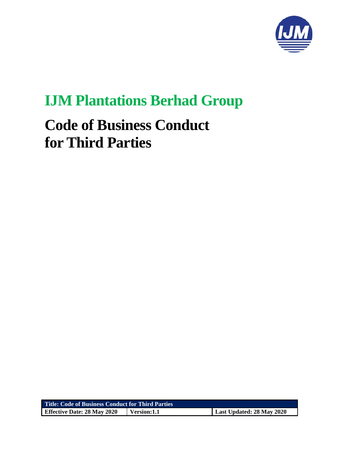

# **IJM Plantations Berhad Group**

# **Code of Business Conduct for Third Parties**

| <b>Title: Code of Business Conduct for Third Parties</b> |             |                           |
|----------------------------------------------------------|-------------|---------------------------|
| <b>Effective Date: 28 May 2020</b>                       | Version:1.1 | Last Updated: 28 May 2020 |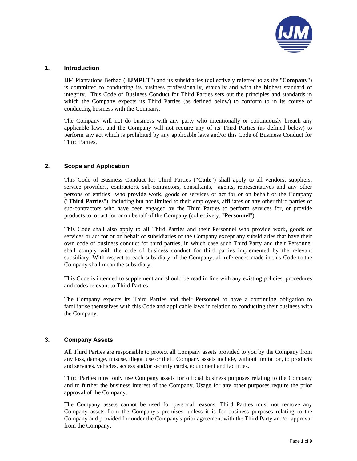

#### **1. Introduction**

IJM Plantations Berhad ("**IJMPLT**") and its subsidiaries (collectively referred to as the "**Company**") is committed to conducting its business professionally, ethically and with the highest standard of integrity. This Code of Business Conduct for Third Parties sets out the principles and standards in which the Company expects its Third Parties (as defined below) to conform to in its course of conducting business with the Company.

The Company will not do business with any party who intentionally or continuously breach any applicable laws, and the Company will not require any of its Third Parties (as defined below) to perform any act which is prohibited by any applicable laws and/or this Code of Business Conduct for Third Parties.

#### **2. Scope and Application**

This Code of Business Conduct for Third Parties ("**Code**") shall apply to all vendors, suppliers, service providers, contractors, sub-contractors, consultants, agents, representatives and any other persons or entities who provide work, goods or services or act for or on behalf of the Company ("**Third Parties**"), including but not limited to their employees, affiliates or any other third parties or sub-contractors who have been engaged by the Third Parties to perform services for, or provide products to, or act for or on behalf of the Company (collectively, "**Personnel**").

This Code shall also apply to all Third Parties and their Personnel who provide work, goods or services or act for or on behalf of subsidiaries of the Company except any subsidiaries that have their own code of business conduct for third parties, in which case such Third Party and their Personnel shall comply with the code of business conduct for third parties implemented by the relevant subsidiary. With respect to each subsidiary of the Company, all references made in this Code to the Company shall mean the subsidiary.

This Code is intended to supplement and should be read in line with any existing policies, procedures and codes relevant to Third Parties.

The Company expects its Third Parties and their Personnel to have a continuing obligation to familiarise themselves with this Code and applicable laws in relation to conducting their business with the Company.

#### **3. Company Assets**

All Third Parties are responsible to protect all Company assets provided to you by the Company from any loss, damage, misuse, illegal use or theft. Company assets include, without limitation, to products and services, vehicles, access and/or security cards, equipment and facilities.

Third Parties must only use Company assets for official business purposes relating to the Company and to further the business interest of the Company. Usage for any other purposes require the prior approval of the Company.

The Company assets cannot be used for personal reasons. Third Parties must not remove any Company assets from the Company's premises, unless it is for business purposes relating to the Company and provided for under the Company's prior agreement with the Third Party and/or approval from the Company.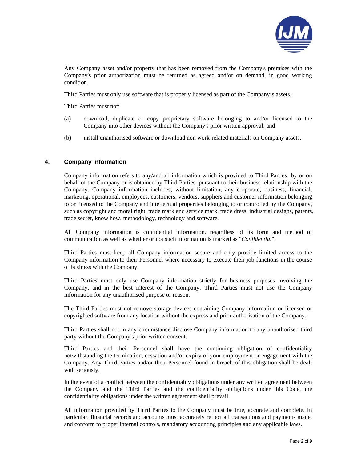

Any Company asset and/or property that has been removed from the Company's premises with the Company's prior authorization must be returned as agreed and/or on demand, in good working condition.

Third Parties must only use software that is properly licensed as part of the Company's assets.

Third Parties must not:

- (a) download, duplicate or copy proprietary software belonging to and/or licensed to the Company into other devices without the Company's prior written approval; and
- (b) install unauthorised software or download non work-related materials on Company assets.

# **4. Company Information**

Company information refers to any/and all information which is provided to Third Parties by or on behalf of the Company or is obtained by Third Parties pursuant to their business relationship with the Company. Company information includes, without limitation, any corporate, business, financial, marketing, operational, employees, customers, vendors, suppliers and customer information belonging to or licensed to the Company and intellectual properties belonging to or controlled by the Company, such as copyright and moral right, trade mark and service mark, trade dress, industrial designs, patents, trade secret, know how, methodology, technology and software.

All Company information is confidential information, regardless of its form and method of communication as well as whether or not such information is marked as "*Confidential*".

Third Parties must keep all Company information secure and only provide limited access to the Company information to their Personnel where necessary to execute their job functions in the course of business with the Company.

Third Parties must only use Company information strictly for business purposes involving the Company, and in the best interest of the Company. Third Parties must not use the Company information for any unauthorised purpose or reason.

The Third Parties must not remove storage devices containing Company information or licensed or copyrighted software from any location without the express and prior authorisation of the Company.

Third Parties shall not in any circumstance disclose Company information to any unauthorised third party without the Company's prior written consent.

Third Parties and their Personnel shall have the continuing obligation of confidentiality notwithstanding the termination, cessation and/or expiry of your employment or engagement with the Company. Any Third Parties and/or their Personnel found in breach of this obligation shall be dealt with seriously.

In the event of a conflict between the confidentiality obligations under any written agreement between the Company and the Third Parties and the confidentiality obligations under this Code, the confidentiality obligations under the written agreement shall prevail.

All information provided by Third Parties to the Company must be true, accurate and complete. In particular, financial records and accounts must accurately reflect all transactions and payments made, and conform to proper internal controls, mandatory accounting principles and any applicable laws.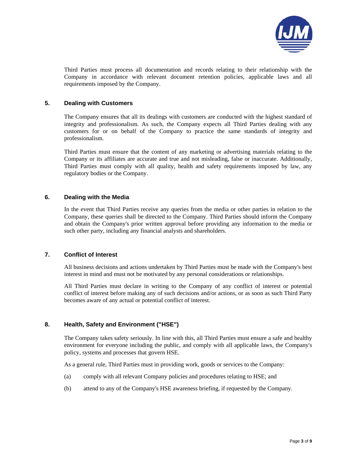

Third Parties must process all documentation and records relating to their relationship with the Company in accordance with relevant document retention policies, applicable laws and all requirements imposed by the Company.

### **5. Dealing with Customers**

The Company ensures that all its dealings with customers are conducted with the highest standard of integrity and professionalism. As such, the Company expects all Third Parties dealing with any customers for or on behalf of the Company to practice the same standards of integrity and professionalism.

Third Parties must ensure that the content of any marketing or advertising materials relating to the Company or its affiliates are accurate and true and not misleading, false or inaccurate. Additionally, Third Parties must comply with all quality, health and safety requirements imposed by law, any regulatory bodies or the Company.

# **6. Dealing with the Media**

In the event that Third Parties receive any queries from the media or other parties in relation to the Company, these queries shall be directed to the Company. Third Parties should inform the Company and obtain the Company's prior written approval before providing any information to the media or such other party, including any financial analysts and shareholders.

# **7. Conflict of Interest**

All business decisions and actions undertaken by Third Parties must be made with the Company's best interest in mind and must not be motivated by any personal considerations or relationships.

All Third Parties must declare in writing to the Company of any conflict of interest or potential conflict of interest before making any of such decisions and/or actions, or as soon as such Third Party becomes aware of any actual or potential conflict of interest.

# **8. Health, Safety and Environment ("HSE")**

The Company takes safety seriously. In line with this, all Third Parties must ensure a safe and healthy environment for everyone including the public, and comply with all applicable laws, the Company's policy, systems and processes that govern HSE.

As a general rule, Third Parties must in providing work, goods or services to the Company:

- (a) comply with all relevant Company policies and procedures relating to HSE; and
- (b) attend to any of the Company's HSE awareness briefing, if requested by the Company.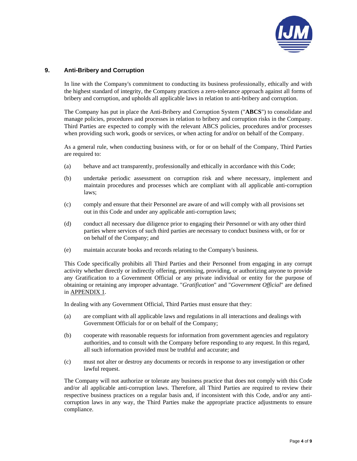

# **9. Anti-Bribery and Corruption**

In line with the Company's commitment to conducting its business professionally, ethically and with the highest standard of integrity, the Company practices a zero-tolerance approach against all forms of bribery and corruption, and upholds all applicable laws in relation to anti-bribery and corruption.

The Company has put in place the Anti-Bribery and Corruption System ("**ABCS**") to consolidate and manage policies, procedures and processes in relation to bribery and corruption risks in the Company. Third Parties are expected to comply with the relevant ABCS policies, procedures and/or processes when providing such work, goods or services, or when acting for and/or on behalf of the Company.

As a general rule, when conducting business with, or for or on behalf of the Company, Third Parties are required to:

- (a) behave and act transparently, professionally and ethically in accordance with this Code;
- (b) undertake periodic assessment on corruption risk and where necessary, implement and maintain procedures and processes which are compliant with all applicable anti-corruption laws;
- (c) comply and ensure that their Personnel are aware of and will comply with all provisions set out in this Code and under any applicable anti-corruption laws;
- (d) conduct all necessary due diligence prior to engaging their Personnel or with any other third parties where services of such third parties are necessary to conduct business with, or for or on behalf of the Company; and
- (e) maintain accurate books and records relating to the Company's business.

This Code specifically prohibits all Third Parties and their Personnel from engaging in any corrupt activity whether directly or indirectly offering, promising, providing, or authorizing anyone to provide any Gratification to a Government Official or any private individual or entity for the purpose of obtaining or retaining any improper advantage. "*Gratification*" and "*Government Official*" are defined in APPENDIX 1.

In dealing with any Government Official, Third Parties must ensure that they:

- (a) are compliant with all applicable laws and regulations in all interactions and dealings with Government Officials for or on behalf of the Company;
- (b) cooperate with reasonable requests for information from government agencies and regulatory authorities, and to consult with the Company before responding to any request. In this regard, all such information provided must be truthful and accurate; and
- (c) must not alter or destroy any documents or records in response to any investigation or other lawful request.

The Company will not authorize or tolerate any business practice that does not comply with this Code and/or all applicable anti-corruption laws. Therefore, all Third Parties are required to review their respective business practices on a regular basis and, if inconsistent with this Code, and/or any anticorruption laws in any way, the Third Parties make the appropriate practice adjustments to ensure compliance.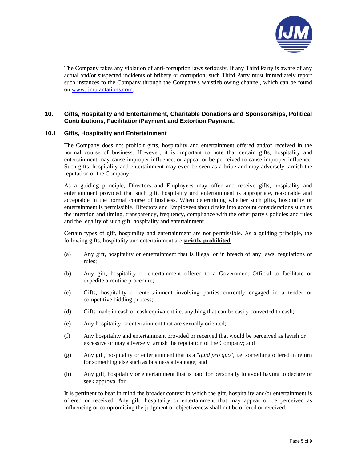

The Company takes any violation of anti-corruption laws seriously. If any Third Party is aware of any actual and/or suspected incidents of bribery or corruption, such Third Party must immediately report such instances to the Company through the Company's whistleblowing channel, which can be found on www.ijmplantations.com.

# **10. Gifts, Hospitality and Entertainment, Charitable Donations and Sponsorships, Political Contributions, Facilitation/Payment and Extortion Payment.**

#### **10.1 Gifts, Hospitality and Entertainment**

The Company does not prohibit gifts, hospitality and entertainment offered and/or received in the normal course of business. However, it is important to note that certain gifts, hospitality and entertainment may cause improper influence, or appear or be perceived to cause improper influence. Such gifts, hospitality and entertainment may even be seen as a bribe and may adversely tarnish the reputation of the Company.

As a guiding principle, Directors and Employees may offer and receive gifts, hospitality and entertainment provided that such gift, hospitality and entertainment is appropriate, reasonable and acceptable in the normal course of business. When determining whether such gifts, hospitality or entertainment is permissible, Directors and Employees should take into account considerations such as the intention and timing, transparency, frequency, compliance with the other party's policies and rules and the legality of such gift, hospitality and entertainment.

Certain types of gift, hospitality and entertainment are not permissible. As a guiding principle, the following gifts, hospitality and entertainment are **strictly prohibited**:

- (a) Any gift, hospitality or entertainment that is illegal or in breach of any laws, regulations or rules;
- (b) Any gift, hospitality or entertainment offered to a Government Official to facilitate or expedite a routine procedure;
- (c) Gifts, hospitality or entertainment involving parties currently engaged in a tender or competitive bidding process;
- (d) Gifts made in cash or cash equivalent i.e. anything that can be easily converted to cash;
- (e) Any hospitality or entertainment that are sexually oriented;
- (f) Any hospitality and entertainment provided or received that would be perceived as lavish or excessive or may adversely tarnish the reputation of the Company; and
- (g) Any gift, hospitality or entertainment that is a "*quid pro quo*", i.e. something offered in return for something else such as business advantage; and
- (h) Any gift, hospitality or entertainment that is paid for personally to avoid having to declare or seek approval for

It is pertinent to bear in mind the broader context in which the gift, hospitality and/or entertainment is offered or received. Any gift, hospitality or entertainment that may appear or be perceived as influencing or compromising the judgment or objectiveness shall not be offered or received.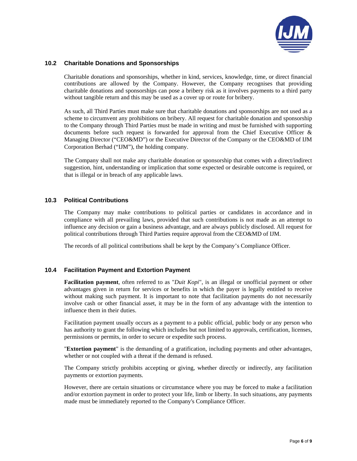

### **10.2 Charitable Donations and Sponsorships**

Charitable donations and sponsorships, whether in kind, services, knowledge, time, or direct financial contributions are allowed by the Company. However, the Company recognises that providing charitable donations and sponsorships can pose a bribery risk as it involves payments to a third party without tangible return and this may be used as a cover up or route for bribery.

As such, all Third Parties must make sure that charitable donations and sponsorships are not used as a scheme to circumvent any prohibitions on bribery. All request for charitable donation and sponsorship to the Company through Third Parties must be made in writing and must be furnished with supporting documents before such request is forwarded for approval from the Chief Executive Officer  $\&$ Managing Director ("CEO&MD") or the Executive Director of the Company or the CEO&MD of IJM Corporation Berhad ("IJM"), the holding company.

The Company shall not make any charitable donation or sponsorship that comes with a direct/indirect suggestion, hint, understanding or implication that some expected or desirable outcome is required, or that is illegal or in breach of any applicable laws.

# **10.3 Political Contributions**

The Company may make contributions to political parties or candidates in accordance and in compliance with all prevailing laws, provided that such contributions is not made as an attempt to influence any decision or gain a business advantage, and are always publicly disclosed. All request for political contributions through Third Parties require approval from the CEO&MD of IJM.

The records of all political contributions shall be kept by the Company's Compliance Officer.

#### **10.4 Facilitation Payment and Extortion Payment**

**Facilitation payment**, often referred to as "*Duit Kopi*", is an illegal or unofficial payment or other advantages given in return for services or benefits in which the payer is legally entitled to receive without making such payment. It is important to note that facilitation payments do not necessarily involve cash or other financial asset, it may be in the form of any advantage with the intention to influence them in their duties.

Facilitation payment usually occurs as a payment to a public official, public body or any person who has authority to grant the following which includes but not limited to approvals, certification, licenses, permissions or permits, in order to secure or expedite such process.

"**Extortion payment**" is the demanding of a gratification, including payments and other advantages, whether or not coupled with a threat if the demand is refused.

The Company strictly prohibits accepting or giving, whether directly or indirectly, any facilitation payments or extortion payments.

However, there are certain situations or circumstance where you may be forced to make a facilitation and/or extortion payment in order to protect your life, limb or liberty. In such situations, any payments made must be immediately reported to the Company's Compliance Officer.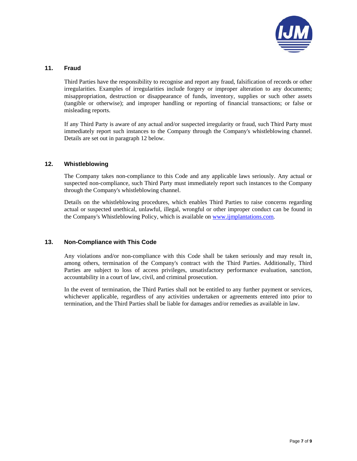

### **11. Fraud**

Third Parties have the responsibility to recognise and report any fraud, falsification of records or other irregularities. Examples of irregularities include forgery or improper alteration to any documents; misappropriation, destruction or disappearance of funds, inventory, supplies or such other assets (tangible or otherwise); and improper handling or reporting of financial transactions; or false or misleading reports.

If any Third Party is aware of any actual and/or suspected irregularity or fraud, such Third Party must immediately report such instances to the Company through the Company's whistleblowing channel. Details are set out in paragraph 12 below.

# **12. Whistleblowing**

The Company takes non-compliance to this Code and any applicable laws seriously. Any actual or suspected non-compliance, such Third Party must immediately report such instances to the Company through the Company's whistleblowing channel.

Details on the whistleblowing procedures, which enables Third Parties to raise concerns regarding actual or suspected unethical, unlawful, illegal, wrongful or other improper conduct can be found in the Company's Whistleblowing Policy, which is available on www.ijmplantations.com.

#### **13. Non-Compliance with This Code**

Any violations and/or non-compliance with this Code shall be taken seriously and may result in, among others, termination of the Company's contract with the Third Parties. Additionally, Third Parties are subject to loss of access privileges, unsatisfactory performance evaluation, sanction, accountability in a court of law, civil, and criminal prosecution.

In the event of termination, the Third Parties shall not be entitled to any further payment or services, whichever applicable, regardless of any activities undertaken or agreements entered into prior to termination, and the Third Parties shall be liable for damages and/or remedies as available in law.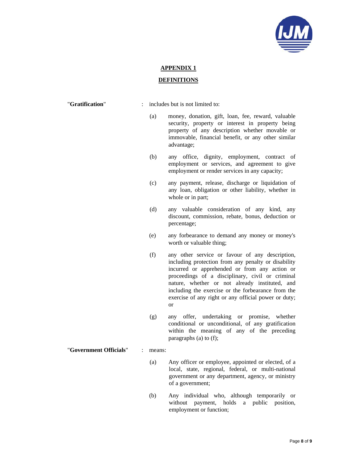

### **APPENDIX 1**

#### **DEFINITIONS**

"**Gratification**" : includes but is not limited to:

- (a) money, donation, gift, loan, fee, reward, valuable security, property or interest in property being property of any description whether movable or immovable, financial benefit, or any other similar advantage;
- (b) any office, dignity, employment, contract of employment or services, and agreement to give employment or render services in any capacity;
- (c) any payment, release, discharge or liquidation of any loan, obligation or other liability, whether in whole or in part;
- (d) any valuable consideration of any kind, any discount, commission, rebate, bonus, deduction or percentage;
- (e) any forbearance to demand any money or money's worth or valuable thing;
- (f) any other service or favour of any description, including protection from any penalty or disability incurred or apprehended or from any action or proceedings of a disciplinary, civil or criminal nature, whether or not already instituted, and including the exercise or the forbearance from the exercise of any right or any official power or duty; or
- (g) any offer, undertaking or promise, whether conditional or unconditional, of any gratification within the meaning of any of the preceding paragraphs (a) to (f);

"**Government Officials**" : means:

- (a) Any officer or employee, appointed or elected, of a local, state, regional, federal, or multi-national government or any department, agency, or ministry of a government;
- (b) Any individual who, although temporarily or without payment, holds a public position, employment or function;